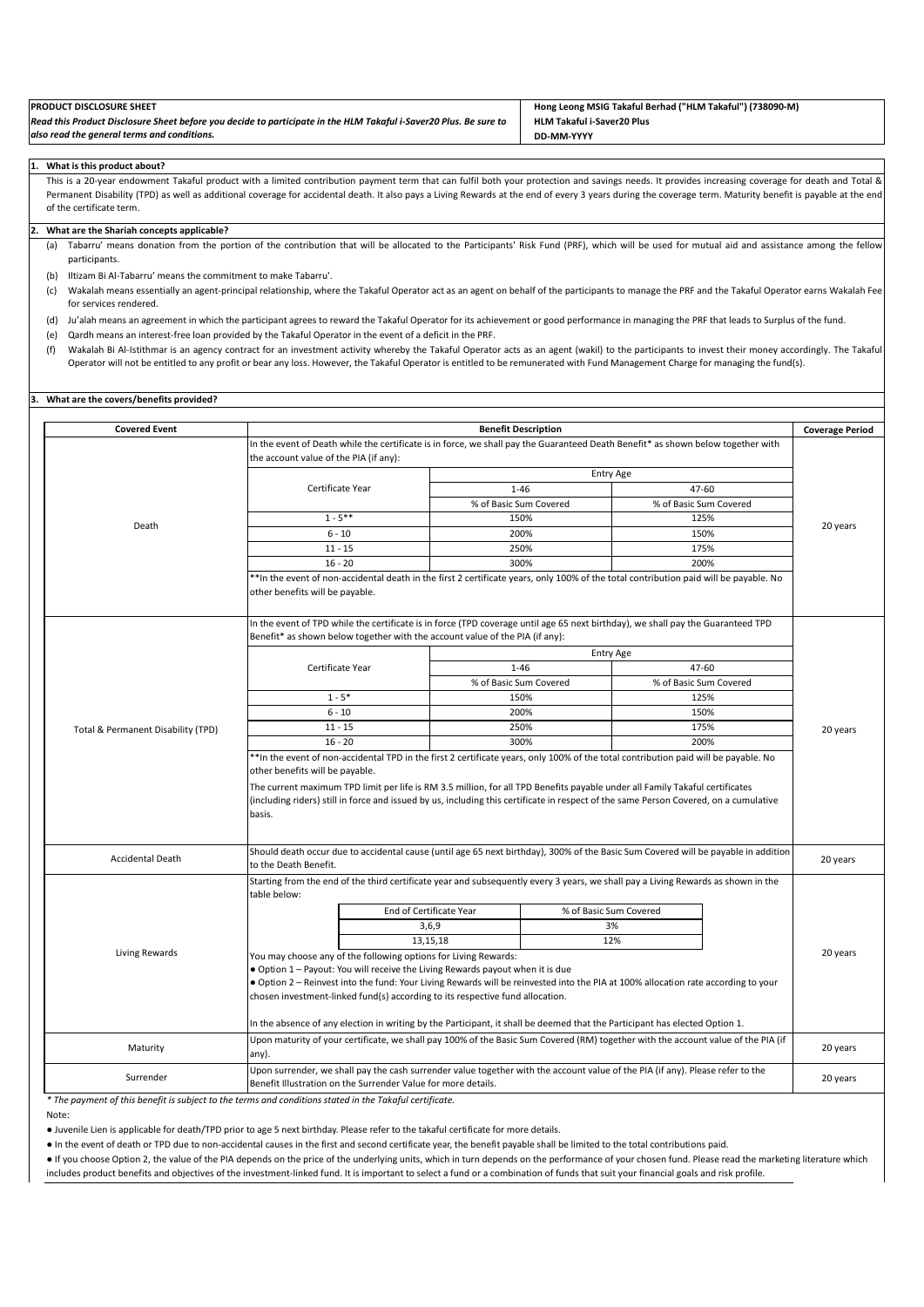| <b>PRODUCT DISCLOSURE SHEET</b>                                                                                   | Hong Leong MSIG Takaful Berhad ("HLM Takaful") (738090-M) |
|-------------------------------------------------------------------------------------------------------------------|-----------------------------------------------------------|
| Read this Product Disclosure Sheet before you decide to participate in the HLM Takaful i-Saver20 Plus. Be sure to | <b>HLM Takaful i-Saver20 Plus</b>                         |
| also read the general terms and conditions.                                                                       | DD-MM-YYYY                                                |

#### **1. What is this product about?**

This is a 20-year endowment Takaful product with a limited contribution payment term that can fulfil both your protection and savings needs. It provides increasing coverage for death and Total & Permanent Disability (TPD) as well as additional coverage for accidental death. It also pays a Living Rewards at the end of every 3 years during the coverage term. Maturity benefit is payable at the end of the certificate term.

#### **2. What are the Shariah concepts applicable?**

(a) Tabarru' means donation from the portion of the contribution that will be allocated to the Participants' Risk Fund (PRF), which will be used for mutual aid and assistance among the fellow participants.

- (b) Iltizam Bi Al-Tabarru' means the commitment to make Tabarru'.
- (c) Wakalah means essentially an agent-principal relationship, where the Takaful Operator act as an agent on behalf of the participants to manage the PRF and the Takaful Operator earns Wakalah Fee for services rendered.
- (d) Ju'alah means an agreement in which the participant agrees to reward the Takaful Operator for its achievement or good performance in managing the PRF that leads to Surplus of the fund.
- (e) Qardh means an interest-free loan provided by the Takaful Operator in the event of a deficit in the PRF.
- (f) Wakalah Bi Al-Istithmar is an agency contract for an investment activity whereby the Takaful Operator acts as an agent (wakil) to the participants to invest their money accordingly. The Takaful Operator will not be entitled to any profit or bear any loss. However, the Takaful Operator is entitled to be remunerated with Fund Management Charge for managing the fund(s).

### **3. What are the covers/benefits provided?**

| <b>Covered Event</b>               |                                                                                                                                                                                                                                                                                                                                                                                                                                                           |                                                                                                                                                                                                                     | <b>Benefit Description</b>                                                                                                                                                                      |                        |                        |                        | <b>Coverage Period</b> |
|------------------------------------|-----------------------------------------------------------------------------------------------------------------------------------------------------------------------------------------------------------------------------------------------------------------------------------------------------------------------------------------------------------------------------------------------------------------------------------------------------------|---------------------------------------------------------------------------------------------------------------------------------------------------------------------------------------------------------------------|-------------------------------------------------------------------------------------------------------------------------------------------------------------------------------------------------|------------------------|------------------------|------------------------|------------------------|
|                                    | In the event of Death while the certificate is in force, we shall pay the Guaranteed Death Benefit* as shown below together with                                                                                                                                                                                                                                                                                                                          |                                                                                                                                                                                                                     |                                                                                                                                                                                                 |                        |                        |                        |                        |
|                                    | the account value of the PIA (if any):                                                                                                                                                                                                                                                                                                                                                                                                                    |                                                                                                                                                                                                                     |                                                                                                                                                                                                 |                        |                        |                        |                        |
|                                    |                                                                                                                                                                                                                                                                                                                                                                                                                                                           |                                                                                                                                                                                                                     |                                                                                                                                                                                                 | <b>Entry Age</b>       |                        |                        |                        |
|                                    |                                                                                                                                                                                                                                                                                                                                                                                                                                                           | Certificate Year                                                                                                                                                                                                    | $1 - 46$                                                                                                                                                                                        |                        | 47-60                  |                        |                        |
|                                    |                                                                                                                                                                                                                                                                                                                                                                                                                                                           |                                                                                                                                                                                                                     | % of Basic Sum Covered                                                                                                                                                                          |                        |                        | % of Basic Sum Covered |                        |
|                                    |                                                                                                                                                                                                                                                                                                                                                                                                                                                           | $1 - 5$ **                                                                                                                                                                                                          | 150%                                                                                                                                                                                            |                        |                        | 125%                   |                        |
| Death                              |                                                                                                                                                                                                                                                                                                                                                                                                                                                           | $6 - 10$                                                                                                                                                                                                            |                                                                                                                                                                                                 | 200%                   |                        | 150%                   | 20 years               |
|                                    |                                                                                                                                                                                                                                                                                                                                                                                                                                                           | $11 - 15$                                                                                                                                                                                                           |                                                                                                                                                                                                 | 250%                   |                        | 175%                   |                        |
|                                    |                                                                                                                                                                                                                                                                                                                                                                                                                                                           | $16 - 20$                                                                                                                                                                                                           |                                                                                                                                                                                                 | 300%                   |                        | 200%                   |                        |
|                                    | other benefits will be payable.                                                                                                                                                                                                                                                                                                                                                                                                                           | **In the event of non-accidental death in the first 2 certificate years, only 100% of the total contribution paid will be payable. No                                                                               |                                                                                                                                                                                                 |                        |                        |                        |                        |
|                                    |                                                                                                                                                                                                                                                                                                                                                                                                                                                           | In the event of TPD while the certificate is in force (TPD coverage until age 65 next birthday), we shall pay the Guaranteed TPD<br>Benefit* as shown below together with the account value of the PIA (if any):    |                                                                                                                                                                                                 |                        |                        |                        |                        |
|                                    |                                                                                                                                                                                                                                                                                                                                                                                                                                                           |                                                                                                                                                                                                                     |                                                                                                                                                                                                 | <b>Entry Age</b>       |                        |                        |                        |
|                                    |                                                                                                                                                                                                                                                                                                                                                                                                                                                           | Certificate Year                                                                                                                                                                                                    | $1 - 46$                                                                                                                                                                                        |                        |                        | 47-60                  |                        |
|                                    |                                                                                                                                                                                                                                                                                                                                                                                                                                                           |                                                                                                                                                                                                                     | % of Basic Sum Covered                                                                                                                                                                          |                        | % of Basic Sum Covered |                        |                        |
|                                    | $1 - 5*$                                                                                                                                                                                                                                                                                                                                                                                                                                                  |                                                                                                                                                                                                                     | 150%                                                                                                                                                                                            |                        |                        | 125%                   |                        |
|                                    |                                                                                                                                                                                                                                                                                                                                                                                                                                                           | $6 - 10$                                                                                                                                                                                                            |                                                                                                                                                                                                 | 200%                   |                        | 150%                   |                        |
| Total & Permanent Disability (TPD) |                                                                                                                                                                                                                                                                                                                                                                                                                                                           | $11 - 15$                                                                                                                                                                                                           | 250%                                                                                                                                                                                            |                        | 175%                   |                        | 20 years               |
|                                    | $16 - 20$                                                                                                                                                                                                                                                                                                                                                                                                                                                 |                                                                                                                                                                                                                     |                                                                                                                                                                                                 | 300%                   |                        | 200%                   |                        |
|                                    | **In the event of non-accidental TPD in the first 2 certificate years, only 100% of the total contribution paid will be payable. No<br>other benefits will be payable.<br>The current maximum TPD limit per life is RM 3.5 million, for all TPD Benefits payable under all Family Takaful certificates<br>(including riders) still in force and issued by us, including this certificate in respect of the same Person Covered, on a cumulative<br>basis. |                                                                                                                                                                                                                     |                                                                                                                                                                                                 |                        |                        |                        |                        |
| <b>Accidental Death</b>            | to the Death Benefit.                                                                                                                                                                                                                                                                                                                                                                                                                                     | Should death occur due to accidental cause (until age 65 next birthday), 300% of the Basic Sum Covered will be payable in addition                                                                                  |                                                                                                                                                                                                 |                        |                        |                        | 20 years               |
|                                    | table below:                                                                                                                                                                                                                                                                                                                                                                                                                                              | Starting from the end of the third certificate year and subsequently every 3 years, we shall pay a Living Rewards as shown in the                                                                                   |                                                                                                                                                                                                 |                        |                        |                        |                        |
|                                    |                                                                                                                                                                                                                                                                                                                                                                                                                                                           | End of Certificate Year                                                                                                                                                                                             |                                                                                                                                                                                                 | % of Basic Sum Covered |                        |                        |                        |
|                                    |                                                                                                                                                                                                                                                                                                                                                                                                                                                           | 3,6,9                                                                                                                                                                                                               |                                                                                                                                                                                                 |                        | 3%                     |                        |                        |
|                                    |                                                                                                                                                                                                                                                                                                                                                                                                                                                           | 13, 15, 18                                                                                                                                                                                                          |                                                                                                                                                                                                 |                        | 12%                    |                        |                        |
| <b>Living Rewards</b>              |                                                                                                                                                                                                                                                                                                                                                                                                                                                           | You may choose any of the following options for Living Rewards:                                                                                                                                                     |                                                                                                                                                                                                 |                        |                        |                        | 20 years               |
|                                    |                                                                                                                                                                                                                                                                                                                                                                                                                                                           | . Option 1 - Payout: You will receive the Living Rewards payout when it is due                                                                                                                                      |                                                                                                                                                                                                 |                        |                        |                        |                        |
|                                    |                                                                                                                                                                                                                                                                                                                                                                                                                                                           | . Option 2 - Reinvest into the fund: Your Living Rewards will be reinvested into the PIA at 100% allocation rate according to your<br>chosen investment-linked fund(s) according to its respective fund allocation. |                                                                                                                                                                                                 |                        |                        |                        |                        |
|                                    | In the absence of any election in writing by the Participant, it shall be deemed that the Participant has elected Option 1.<br>Upon maturity of your certificate, we shall pay 100% of the Basic Sum Covered (RM) together with the account value of the PIA (if                                                                                                                                                                                          |                                                                                                                                                                                                                     |                                                                                                                                                                                                 |                        |                        |                        |                        |
| Maturity                           | any).                                                                                                                                                                                                                                                                                                                                                                                                                                                     |                                                                                                                                                                                                                     |                                                                                                                                                                                                 |                        |                        |                        | 20 years               |
| Surrender                          |                                                                                                                                                                                                                                                                                                                                                                                                                                                           |                                                                                                                                                                                                                     | Upon surrender, we shall pay the cash surrender value together with the account value of the PIA (if any). Please refer to the<br>Benefit Illustration on the Surrender Value for more details. |                        |                        |                        |                        |

*\* The payment of this benefit is subject to the terms and conditions stated in the Takaful certificate.*

Note:

● Juvenile Lien is applicable for death/TPD prior to age 5 next birthday. Please refer to the takaful certificate for more details.

● In the event of death or TPD due to non-accidental causes in the first and second certificate year, the benefit payable shall be limited to the total contributions paid.

● If you choose Option 2, the value of the PIA depends on the price of the underlying units, which in turn depends on the performance of your chosen fund. Please read the marketing literature which includes product benefits and objectives of the investment-linked fund. It is important to select a fund or a combination of funds that suit your financial goals and risk profile.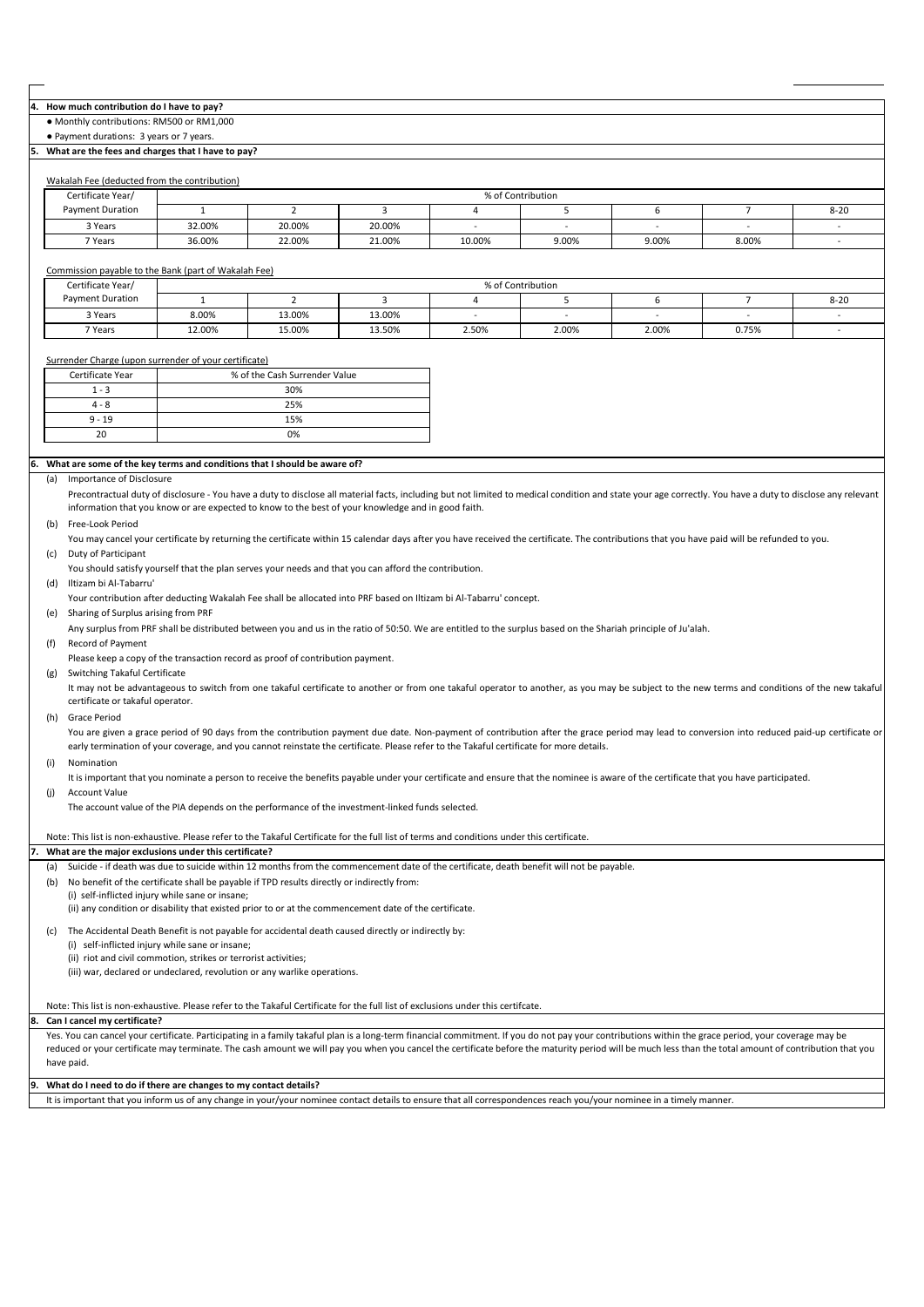#### **4. How much contribution do I have to pay?**

● Monthly contributions: RM500 or RM1,000

● Payment durations: 3 years or 7 years.

#### **5. What are the fees and charges that I have to pay?**

| Wakalah Fee (deducted from the contribution) |  |
|----------------------------------------------|--|
|                                              |  |

| Certificate Year/       | % of Contribution |        |        |        |       |       |       |          |  |
|-------------------------|-------------------|--------|--------|--------|-------|-------|-------|----------|--|
| <b>Payment Duration</b> |                   |        |        |        |       |       |       | $8 - 20$ |  |
| 3 Years                 | 32.00%            | 20.00% | 20.00% |        |       |       |       |          |  |
| 7 Years                 | 36.00%            | 22.00% | 21.00% | 10.00% | 9.00% | 9.00% | 8.00% |          |  |

## Commission payable to the Bank (part of Wakalah Fee)

| Certificate Year/       | % of Contribution |        |        |       |       |       |       |          |  |
|-------------------------|-------------------|--------|--------|-------|-------|-------|-------|----------|--|
| <b>Payment Duration</b> |                   |        |        |       |       |       |       | $8 - 20$ |  |
| 3 Years                 | 8.00%             | 13.00% | 13.00% | -     |       |       |       |          |  |
| 7 Years                 | 12.00%            | 15.00% | 13.50% | 2.50% | 2.00% | 2.00% | 0.75% |          |  |

# Surrender Charge (upon surrender of your certificate)

| Certificate Year | % of the Cash Surrender Value |
|------------------|-------------------------------|
| $1 - 3$          | 30%                           |
| $4 - 8$          | 25%                           |
| $9 - 19$         | 15%                           |
| 20               | 0%                            |

#### **6. What are some of the key terms and conditions that I should be aware of?**

#### (a) Importance of Disclosure

Precontractual duty of disclosure - You have a duty to disclose all material facts, including but not limited to medical condition and state your age correctly. You have a duty to disclose any relevant information that you know or are expected to know to the best of your knowledge and in good faith.

#### (b) Free-Look Period

(c) Duty of Participant You may cancel your certificate by returning the certificate within 15 calendar days after you have received the certificate. The contributions that you have paid will be refunded to you.

You should satisfy yourself that the plan serves your needs and that you can afford the contribution.

(d) Iltizam bi Al-Tabarru'

Your contribution after deducting Wakalah Fee shall be allocated into PRF based on Iltizam bi Al-Tabarru' concept.

(e) Sharing of Surplus arising from PRF

Any surplus from PRF shall be distributed between you and us in the ratio of 50:50. We are entitled to the surplus based on the Shariah principle of Ju'alah.

### (f) Record of Payment

Please keep a copy of the transaction record as proof of contribution payment.

(g) Switching Takaful Certificate

It may not be advantageous to switch from one takaful certificate to another or from one takaful operator to another, as you may be subject to the new terms and conditions of the new takaful certificate or takaful operator.

(h) Grace Period

You are given a grace period of 90 days from the contribution payment due date. Non-payment of contribution after the grace period may lead to conversion into reduced paid-up certificate or early termination of your coverage, and you cannot reinstate the certificate. Please refer to the Takaful certificate for more details.

## (i) Nomination

(j) Account Value It is important that you nominate a person to receive the benefits payable under your certificate and ensure that the nominee is aware of the certificate that you have participated.

The account value of the PIA depends on the performance of the investment-linked funds selected.

Note: This list is non-exhaustive. Please refer to the Takaful Certificate for the full list of terms and conditions under this certificate.

#### **7. What are the major exclusions under this certificate?**

(a) Suicide - if death was due to suicide within 12 months from the commencement date of the certificate, death benefit will not be payable.

- (b) No benefit of the certificate shall be payable if TPD results directly or indirectly from:
- (i) self-inflicted injury while sane or insane;

(ii) any condition or disability that existed prior to or at the commencement date of the certificate.

(c) The Accidental Death Benefit is not payable for accidental death caused directly or indirectly by:

(i) self-inflicted injury while sane or insane;

(ii) riot and civil commotion, strikes or terrorist activities; (iii) war, declared or undeclared, revolution or any warlike operations.

#### **8.**  Note: This list is non-exhaustive. Please refer to the Takaful Certificate for the full list of exclusions under this certifcate. **Can I cancel my certificate?**

Yes. You can cancel your certificate. Participating in a family takaful plan is a long-term financial commitment. If you do not pay your contributions within the grace period, your coverage may be reduced or your certificate may terminate. The cash amount we will pay you when you cancel the certificate before the maturity period will be much less than the total amount of contribution that you have paid.

#### **9. What do I need to do if there are changes to my contact details?**

It is important that you inform us of any change in your/your nominee contact details to ensure that all correspondences reach you/your nominee in a timely manner.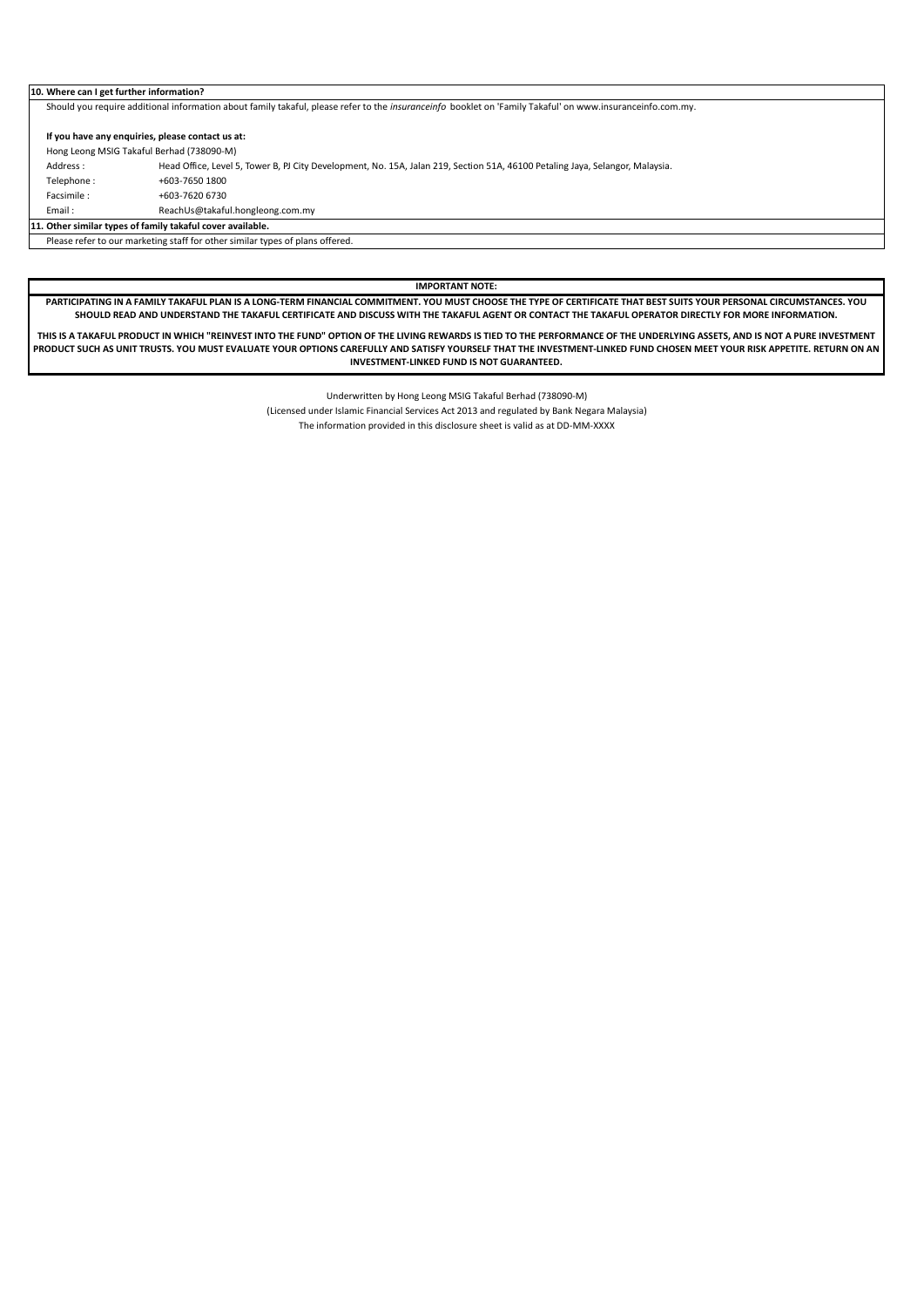#### **10. Where can I get further information?**

Should you require additional information about family takaful, please refer to the *insuranceinfo* booklet on 'Family Takaful' on www.insuranceinfo.com.my.

# **If you have any enquiries, please contact us at:** Hong Leong MSIG Takaful Berhad (738090-M)

- Address : Head Office, Level 5, Tower B, PJ City Development, No. 15A, Jalan 219, Section 51A, 46100 Petaling Jaya, Selangor, Malaysia.
- 
- Telephone : +603-7650 1800<br>Facsimile : +603-7620 6730 Facsimile : +603-7620 6730
- Email : ReachUs@takaful.hongleong.com.my

**11. Other similar types of family takaful cover available.**

Please refer to our marketing staff for other similar types of plans offered.

**IMPORTANT NOTE:**

**PARTICIPATING IN A FAMILY TAKAFUL PLAN IS A LONG-TERM FINANCIAL COMMITMENT. YOU MUST CHOOSE THE TYPE OF CERTIFICATE THAT BEST SUITS YOUR PERSONAL CIRCUMSTANCES. YOU SHOULD READ AND UNDERSTAND THE TAKAFUL CERTIFICATE AND DISCUSS WITH THE TAKAFUL AGENT OR CONTACT THE TAKAFUL OPERATOR DIRECTLY FOR MORE INFORMATION.** 

**THIS IS A TAKAFUL PRODUCT IN WHICH "REINVEST INTO THE FUND" OPTION OF THE LIVING REWARDS IS TIED TO THE PERFORMANCE OF THE UNDERLYING ASSETS, AND IS NOT A PURE INVESTMENT PRODUCT SUCH AS UNIT TRUSTS. YOU MUST EVALUATE YOUR OPTIONS CAREFULLY AND SATISFY YOURSELF THAT THE INVESTMENT-LINKED FUND CHOSEN MEET YOUR RISK APPETITE. RETURN ON AN INVESTMENT-LINKED FUND IS NOT GUARANTEED.**

Underwritten by Hong Leong MSIG Takaful Berhad (738090-M)

(Licensed under Islamic Financial Services Act 2013 and regulated by Bank Negara Malaysia)

The information provided in this disclosure sheet is valid as at DD-MM-XXXX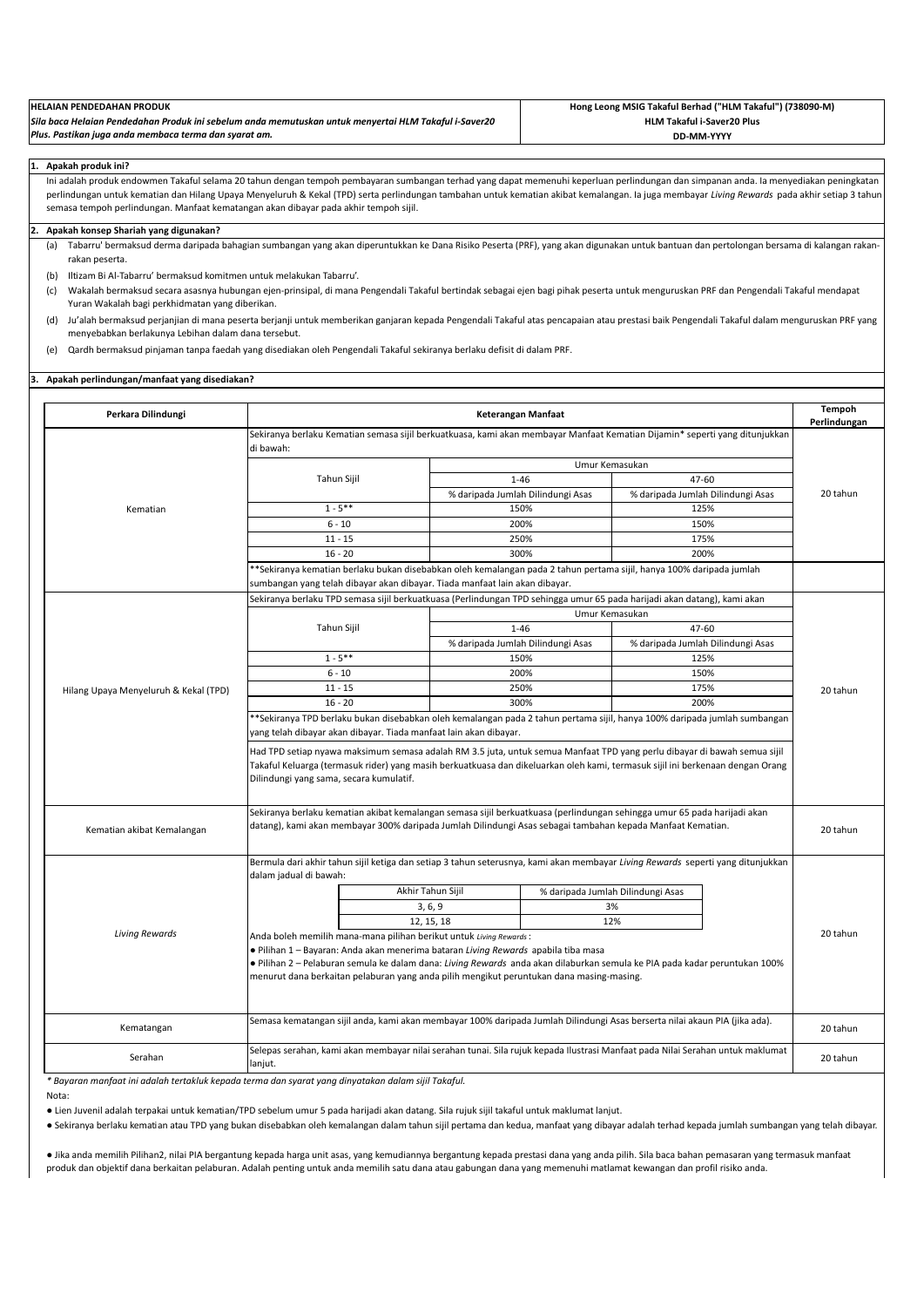| <b>HELAIAN PENDEDAHAN PRODUK</b>                                                                      | Hong Leong MSIG Takaful Berhad ("HLM Takaful") (738090-M) |
|-------------------------------------------------------------------------------------------------------|-----------------------------------------------------------|
| Sila baca Helaian Pendedahan Produk ini sebelum anda memutuskan untuk menyertai HLM Takaful i-Saver20 | <b>HLM Takaful i-Saver20 Plus</b>                         |
| Plus. Pastikan juga anda membaca terma dan syarat am.                                                 | DD-MM-YYYY                                                |

#### **1. Apakah produk ini?**

Ini adalah produk endowmen Takaful selama 20 tahun dengan tempoh pembayaran sumbangan terhad yang dapat memenuhi keperluan perlindungan dan simpanan anda. Ia menyediakan peningkatan perlindungan untuk kematian dan Hilang Upaya Menyeluruh & Kekal (TPD) serta perlindungan tambahan untuk kematian akibat kemalangan. Ia juga membayar *Living Rewards* pada akhir setiap 3 tahun semasa tempoh perlindungan. Manfaat kematangan akan dibayar pada akhir tempoh sijil.

# **2. Apakah konsep Shariah yang digunakan?**

(a) Tabarru' bermaksud derma daripada bahagian sumbangan yang akan diperuntukkan ke Dana Risiko Peserta (PRF), yang akan digunakan untuk bantuan dan pertolongan bersama di kalangan rakanrakan peserta.

(b) Iltizam Bi Al-Tabarru' bermaksud komitmen untuk melakukan Tabarru'.

- (c) Wakalah bermaksud secara asasnya hubungan ejen-prinsipal, di mana Pengendali Takaful bertindak sebagai ejen bagi pihak peserta untuk menguruskan PRF dan Pengendali Takaful mendapat Yuran Wakalah bagi perkhidmatan yang diberikan.
- (d) Ju'alah bermaksud perjanjian di mana peserta berjanji untuk memberikan ganjaran kepada Pengendali Takaful atas pencapaian atau prestasi baik Pengendali Takaful dalam menguruskan PRF yang menyebabkan berlakunya Lebihan dalam dana tersebut.
- (e) Qardh bermaksud pinjaman tanpa faedah yang disediakan oleh Pengendali Takaful sekiranya berlaku defisit di dalam PRF.

## **3. Apakah perlindungan/manfaat yang disediakan?**

| Perkara Dilindungi                    | Keterangan Manfaat                                                                                                                                                                                                                                                                                                                                                                 |                   |                                                                                                            |                                                                                                                                                                                                                                                            |          |  |  |
|---------------------------------------|------------------------------------------------------------------------------------------------------------------------------------------------------------------------------------------------------------------------------------------------------------------------------------------------------------------------------------------------------------------------------------|-------------------|------------------------------------------------------------------------------------------------------------|------------------------------------------------------------------------------------------------------------------------------------------------------------------------------------------------------------------------------------------------------------|----------|--|--|
|                                       | Sekiranya berlaku Kematian semasa sijil berkuatkuasa, kami akan membayar Manfaat Kematian Dijamin* seperti yang ditunjukkan<br>di bawah:                                                                                                                                                                                                                                           |                   |                                                                                                            |                                                                                                                                                                                                                                                            |          |  |  |
|                                       |                                                                                                                                                                                                                                                                                                                                                                                    |                   |                                                                                                            | Umur Kemasukan                                                                                                                                                                                                                                             |          |  |  |
|                                       | Tahun Sijil                                                                                                                                                                                                                                                                                                                                                                        |                   | $1 - 46$                                                                                                   | 47-60                                                                                                                                                                                                                                                      |          |  |  |
|                                       |                                                                                                                                                                                                                                                                                                                                                                                    |                   | % daripada Jumlah Dilindungi Asas                                                                          | % daripada Jumlah Dilindungi Asas                                                                                                                                                                                                                          | 20 tahun |  |  |
| Kematian                              | $1 - 5***$                                                                                                                                                                                                                                                                                                                                                                         |                   | 150%                                                                                                       | 125%                                                                                                                                                                                                                                                       |          |  |  |
|                                       | $6 - 10$                                                                                                                                                                                                                                                                                                                                                                           |                   | 200%                                                                                                       | 150%                                                                                                                                                                                                                                                       |          |  |  |
|                                       | $11 - 15$                                                                                                                                                                                                                                                                                                                                                                          |                   | 250%                                                                                                       | 175%                                                                                                                                                                                                                                                       |          |  |  |
|                                       | $16 - 20$                                                                                                                                                                                                                                                                                                                                                                          |                   | 300%                                                                                                       | 200%                                                                                                                                                                                                                                                       |          |  |  |
|                                       | sumbangan yang telah dibayar akan dibayar. Tiada manfaat lain akan dibayar.                                                                                                                                                                                                                                                                                                        |                   |                                                                                                            | **Sekiranya kematian berlaku bukan disebabkan oleh kemalangan pada 2 tahun pertama sijil, hanya 100% daripada jumlah                                                                                                                                       |          |  |  |
|                                       |                                                                                                                                                                                                                                                                                                                                                                                    |                   |                                                                                                            | Sekiranya berlaku TPD semasa sijil berkuatkuasa (Perlindungan TPD sehingga umur 65 pada harijadi akan datang), kami akan                                                                                                                                   |          |  |  |
|                                       |                                                                                                                                                                                                                                                                                                                                                                                    |                   |                                                                                                            | Umur Kemasukan                                                                                                                                                                                                                                             |          |  |  |
|                                       | Tahun Sijil                                                                                                                                                                                                                                                                                                                                                                        |                   | $1 - 46$                                                                                                   | 47-60                                                                                                                                                                                                                                                      |          |  |  |
|                                       |                                                                                                                                                                                                                                                                                                                                                                                    |                   | % daripada Jumlah Dilindungi Asas                                                                          | % daripada Jumlah Dilindungi Asas                                                                                                                                                                                                                          |          |  |  |
|                                       | $1 - 5***$                                                                                                                                                                                                                                                                                                                                                                         |                   | 150%                                                                                                       | 125%                                                                                                                                                                                                                                                       |          |  |  |
|                                       | $6 - 10$                                                                                                                                                                                                                                                                                                                                                                           |                   | 200%                                                                                                       | 150%                                                                                                                                                                                                                                                       |          |  |  |
| Hilang Upaya Menyeluruh & Kekal (TPD) | $11 - 15$                                                                                                                                                                                                                                                                                                                                                                          |                   | 250%                                                                                                       | 175%                                                                                                                                                                                                                                                       | 20 tahun |  |  |
|                                       | $16 - 20$                                                                                                                                                                                                                                                                                                                                                                          |                   | 300%                                                                                                       | 200%                                                                                                                                                                                                                                                       |          |  |  |
|                                       | **Sekiranya TPD berlaku bukan disebabkan oleh kemalangan pada 2 tahun pertama sijil, hanya 100% daripada jumlah sumbangan                                                                                                                                                                                                                                                          |                   |                                                                                                            |                                                                                                                                                                                                                                                            |          |  |  |
|                                       | yang telah dibayar akan dibayar. Tiada manfaat lain akan dibayar.                                                                                                                                                                                                                                                                                                                  |                   |                                                                                                            |                                                                                                                                                                                                                                                            |          |  |  |
|                                       | Dilindungi yang sama, secara kumulatif.                                                                                                                                                                                                                                                                                                                                            |                   |                                                                                                            | Had TPD setiap nyawa maksimum semasa adalah RM 3.5 juta, untuk semua Manfaat TPD yang perlu dibayar di bawah semua sijil<br>Takaful Keluarga (termasuk rider) yang masih berkuatkuasa dan dikeluarkan oleh kami, termasuk sijil ini berkenaan dengan Orang |          |  |  |
| Kematian akibat Kemalangan            |                                                                                                                                                                                                                                                                                                                                                                                    |                   | datang), kami akan membayar 300% daripada Jumlah Dilindungi Asas sebagai tambahan kepada Manfaat Kematian. | Sekiranya berlaku kematian akibat kemalangan semasa sijil berkuatkuasa (perlindungan sehingga umur 65 pada harijadi akan                                                                                                                                   | 20 tahun |  |  |
|                                       | dalam jadual di bawah:                                                                                                                                                                                                                                                                                                                                                             |                   |                                                                                                            | Bermula dari akhir tahun sijil ketiga dan setiap 3 tahun seterusnya, kami akan membayar Living Rewards seperti yang ditunjukkan                                                                                                                            |          |  |  |
|                                       |                                                                                                                                                                                                                                                                                                                                                                                    | Akhir Tahun Sijil |                                                                                                            | % daripada Jumlah Dilindungi Asas                                                                                                                                                                                                                          |          |  |  |
|                                       |                                                                                                                                                                                                                                                                                                                                                                                    | 3, 6, 9           |                                                                                                            | 3%                                                                                                                                                                                                                                                         |          |  |  |
|                                       |                                                                                                                                                                                                                                                                                                                                                                                    | 12, 15, 18        |                                                                                                            | 12%                                                                                                                                                                                                                                                        |          |  |  |
| <b>Living Rewards</b>                 | Anda boleh memilih mana-mana pilihan berikut untuk Living Rewards:<br>· Pilihan 1 - Bayaran: Anda akan menerima bataran Living Rewards apabila tiba masa<br>• Pilihan 2 – Pelaburan semula ke dalam dana: Living Rewards anda akan dilaburkan semula ke PIA pada kadar peruntukan 100%<br>menurut dana berkaitan pelaburan yang anda pilih mengikut peruntukan dana masing-masing. |                   |                                                                                                            |                                                                                                                                                                                                                                                            |          |  |  |
| Kematangan                            |                                                                                                                                                                                                                                                                                                                                                                                    |                   |                                                                                                            | Semasa kematangan sijil anda, kami akan membayar 100% daripada Jumlah Dilindungi Asas berserta nilai akaun PIA (jika ada).                                                                                                                                 | 20 tahun |  |  |
| Serahan                               | lanjut.                                                                                                                                                                                                                                                                                                                                                                            |                   |                                                                                                            | Selepas serahan, kami akan membayar nilai serahan tunai. Sila rujuk kepada Ilustrasi Manfaat pada Nilai Serahan untuk maklumat                                                                                                                             | 20 tahun |  |  |

*\* Bayaran manfaat ini adalah tertakluk kepada terma dan syarat yang dinyatakan dalam sijil Takaful.*

Nota:

● Lien Juvenil adalah terpakai untuk kematian/TPD sebelum umur 5 pada harijadi akan datang. Sila rujuk sijil takaful untuk maklumat lanjut.

● Sekiranya berlaku kematian atau TPD yang bukan disebabkan oleh kemalangan dalam tahun sijil pertama dan kedua, manfaat yang dibayar adalah terhad kepada jumlah sumbangan yang telah dibayar.

● Jika anda memilih Pilihan2, nilai PIA bergantung kepada harga unit asas, yang kemudiannya bergantung kepada prestasi dana yang anda pilih. Sila baca bahan pemasaran yang termasuk manfaat produk dan objektif dana berkaitan pelaburan. Adalah penting untuk anda memilih satu dana atau gabungan dana yang memenuhi matlamat kewangan dan profil risiko anda.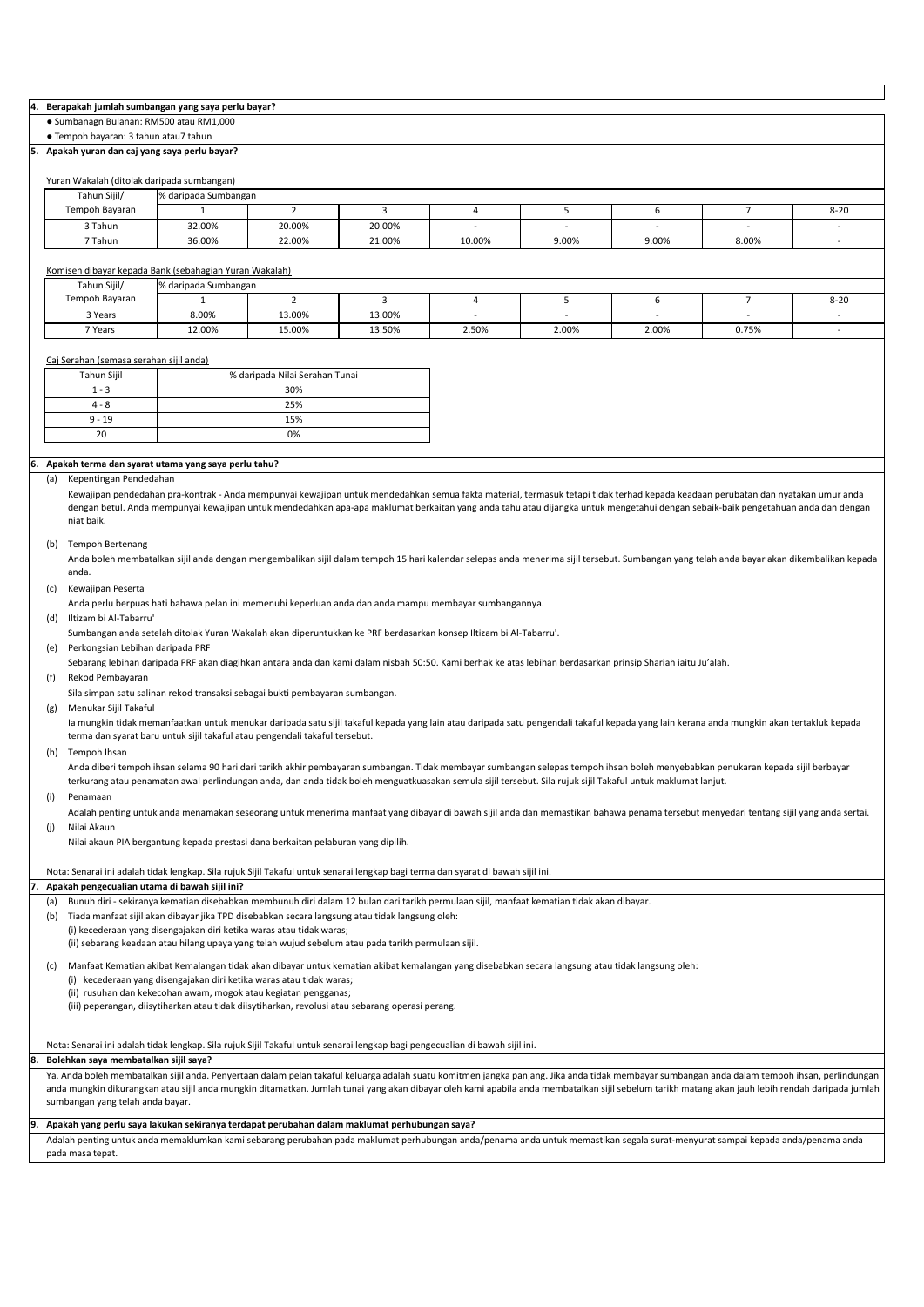### **4. Berapakah jumlah sumbangan yang saya perlu bayar?**

● Sumbanagn Bulanan: RM500 atau RM1,000

## ● Tempoh bayaran: 3 tahun atau7 tahun

## **5. Apakah yuran dan caj yang saya perlu bayar?**

## Yuran Wakalah (ditolak daripada sumbangan)

|                | Tarah Wakalah (altolak daripada Jambangan) |        |        |        |       |       |       |          |  |
|----------------|--------------------------------------------|--------|--------|--------|-------|-------|-------|----------|--|
| Tahun Sijil/   | % daripada Sumbangan                       |        |        |        |       |       |       |          |  |
| Tempoh Bayaran |                                            |        |        |        |       |       |       | $8 - 20$ |  |
| 3 Tahun        | 32.00%                                     | 20.00% | 20.00% |        |       |       |       |          |  |
| 7 Tahun        | 36.00%                                     | 22.00% | 21.00% | 10.00% | 9.00% | 9.00% | 8.00% |          |  |

# Komisen dibayar kepada Bank (sebahagian Yuran Wakalah)

| Tahun Sijil/   | % daripada Sumbangan |        |        |       |       |       |       |                       |  |  |
|----------------|----------------------|--------|--------|-------|-------|-------|-------|-----------------------|--|--|
| Tempoh Bayaran |                      |        |        |       |       |       |       | $\sim$ $\sim$<br>8-20 |  |  |
| 3 Years        | 8.00%                | 13.00% | 13.00% |       |       |       |       |                       |  |  |
| 7 Years        | 12.00%               | 15.00% | 13.50% | 2.50% | 2.00% | 2.00% | 0.75% |                       |  |  |

## Caj Serahan (semasa serahan sijil anda)

| Tahun Sijil | % daripada Nilai Serahan Tunai |
|-------------|--------------------------------|
| $1 - 3$     | 30%                            |
| $4 - 8$     | 25%                            |
| $9 - 19$    | 15%                            |
| 20          | 0%                             |

## **6. Apakah terma dan syarat utama yang saya perlu tahu?**

### (a) Kepentingan Pendedahan

Kewajipan pendedahan pra-kontrak - Anda mempunyai kewajipan untuk mendedahkan semua fakta material, termasuk tetapi tidak terhad kepada keadaan perubatan dan nyatakan umur anda dengan betul. Anda mempunyai kewajipan untuk mendedahkan apa-apa maklumat berkaitan yang anda tahu atau dijangka untuk mengetahui dengan sebaik-baik pengetahuan anda dan dengan niat baik.

### (b) Tempoh Bertenang

Anda boleh membatalkan sijil anda dengan mengembalikan sijil dalam tempoh 15 hari kalendar selepas anda menerima sijil tersebut. Sumbangan yang telah anda bayar akan dikembalikan kepada anda.

```
(c) Kewajipan Peserta
```
Anda perlu berpuas hati bahawa pelan ini memenuhi keperluan anda dan anda mampu membayar sumbangannya.

(d) Iltizam bi Al-Tabarru'

Sumbangan anda setelah ditolak Yuran Wakalah akan diperuntukkan ke PRF berdasarkan konsep Iltizam bi Al-Tabarru'.

(e) Perkongsian Lebihan daripada PRF

Sebarang lebihan daripada PRF akan diagihkan antara anda dan kami dalam nisbah 50:50. Kami berhak ke atas lebihan berdasarkan prinsip Shariah iaitu Ju'alah.

(f) Rekod Pembayaran

Sila simpan satu salinan rekod transaksi sebagai bukti pembayaran sumbangan.

(g) Menukar Sijil Takaful

Ia mungkin tidak memanfaatkan untuk menukar daripada satu sijil takaful kepada yang lain atau daripada satu pengendali takaful kepada yang lain kerana anda mungkin akan tertakluk kepada terma dan syarat baru untuk sijil takaful atau pengendali takaful tersebut.

(h) Tempoh Ihsan

Anda diberi tempoh ihsan selama 90 hari dari tarikh akhir pembayaran sumbangan. Tidak membayar sumbangan selepas tempoh ihsan boleh menyebabkan penukaran kepada sijil berbayar terkurang atau penamatan awal perlindungan anda, dan anda tidak boleh menguatkuasakan semula sijil tersebut. Sila rujuk sijil Takaful untuk maklumat lanjut.

### (i) Penamaan

(j) Nilai Akaun Adalah penting untuk anda menamakan seseorang untuk menerima manfaat yang dibayar di bawah sijil anda dan memastikan bahawa penama tersebut menyedari tentang sijil yang anda sertai.

Nilai akaun PIA bergantung kepada prestasi dana berkaitan pelaburan yang dipilih.

Nota: Senarai ini adalah tidak lengkap. Sila rujuk Sijil Takaful untuk senarai lengkap bagi terma dan syarat di bawah sijil ini.

### **7. Apakah pengecualian utama di bawah sijil ini?**

- (a) Bunuh diri sekiranya kematian disebabkan membunuh diri dalam 12 bulan dari tarikh permulaan sijil, manfaat kematian tidak akan dibayar.
- (b) Tiada manfaat sijil akan dibayar jika TPD disebabkan secara langsung atau tidak langsung oleh:

(i) kecederaan yang disengajakan diri ketika waras atau tidak waras;

(ii) sebarang keadaan atau hilang upaya yang telah wujud sebelum atau pada tarikh permulaan sijil.

(c) Manfaat Kematian akibat Kemalangan tidak akan dibayar untuk kematian akibat kemalangan yang disebabkan secara langsung atau tidak langsung oleh:

- (i) kecederaan yang disengajakan diri ketika waras atau tidak waras;
- (ii) rusuhan dan kekecohan awam, mogok atau kegiatan pengganas;

(iii) peperangan, diisytiharkan atau tidak diisytiharkan, revolusi atau sebarang operasi perang.

# Nota: Senarai ini adalah tidak lengkap. Sila rujuk Sijil Takaful untuk senarai lengkap bagi pengecualian di bawah sijil ini.

## **8. Bolehkan saya membatalkan sijil saya?**

Ya. Anda boleh membatalkan sijil anda. Penyertaan dalam pelan takaful keluarga adalah suatu komitmen jangka panjang. Jika anda tidak membayar sumbangan anda dalam tempoh ihsan, perlindungan anda mungkin dikurangkan atau sijil anda mungkin ditamatkan. Jumlah tunai yang akan dibayar oleh kami apabila anda membatalkan sijil sebelum tarikh matang akan jauh lebih rendah daripada jumlah sumbangan yang telah anda bayar.

# **9. Apakah yang perlu saya lakukan sekiranya terdapat perubahan dalam maklumat perhubungan saya?**

Adalah penting untuk anda memaklumkan kami sebarang perubahan pada maklumat perhubungan anda/penama anda untuk memastikan segala surat-menyurat sampai kepada anda/penama anda pada masa tepat.